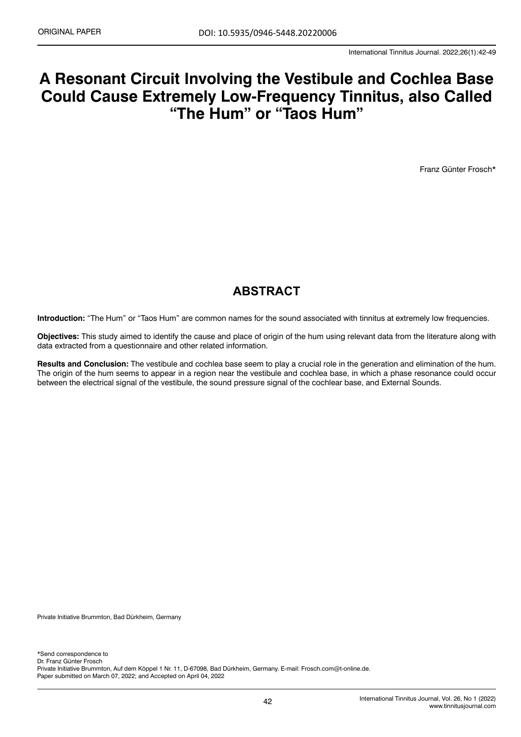# **A Resonant Circuit Involving the Vestibule and Cochlea Base Could Cause Extremely Low-Frequency Tinnitus, also Called "The Hum" or "Taos Hum"**

Franz Günter Frosch\*

# **ABSTRACT**

**Introduction:** "The Hum" or "Taos Hum" are common names for the sound associated with tinnitus at extremely low frequencies.

**Objectives:** This study aimed to identify the cause and place of origin of the hum using relevant data from the literature along with data extracted from a questionnaire and other related information.

**Results and Conclusion:** The vestibule and cochlea base seem to play a crucial role in the generation and elimination of the hum. The origin of the hum seems to appear in a region near the vestibule and cochlea base, in which a phase resonance could occur between the electrical signal of the vestibule, the sound pressure signal of the cochlear base, and External Sounds.

Private Initiative Brummton, Bad Dürkheim, Germany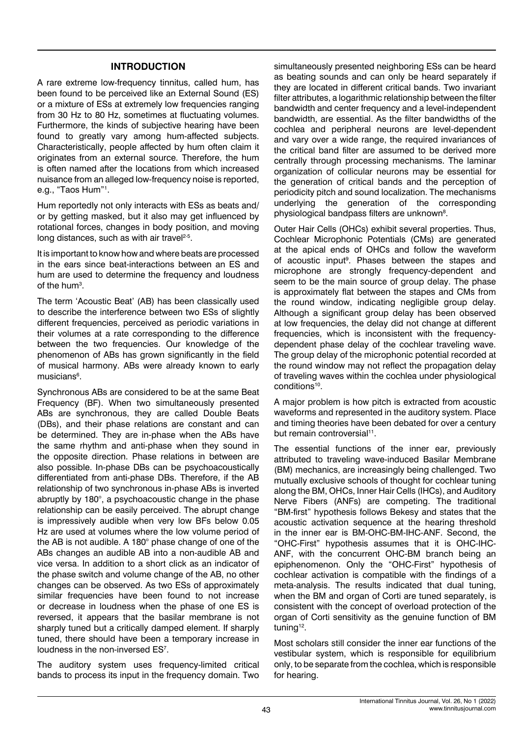#### **INTRODUCTION**

A rare extreme low-frequency tinnitus, called hum, has been found to be perceived like an External Sound (ES) or a mixture of ESs at extremely low frequencies ranging from 30 Hz to 80 Hz, sometimes at fluctuating volumes. Furthermore, the kinds of subjective hearing have been found to greatly vary among hum-affected subjects. Characteristically, people affected by hum often claim it originates from an external source. Therefore, the hum is often named after the locations from which increased nuisance from an alleged low-frequency noise is reported, e.g., "Taos Hum"1 .

Hum reportedly not only interacts with ESs as beats and/ or by getting masked, but it also may get influenced by rotational forces, changes in body position, and moving long distances, such as with air travel<sup> $2-5$ </sup>.

It is important to know how and where beats are processed in the ears since beat-interactions between an ES and hum are used to determine the frequency and loudness of the hum<sup>3</sup>.

The term 'Acoustic Beat' (AB) has been classically used to describe the interference between two ESs of slightly different frequencies, perceived as periodic variations in their volumes at a rate corresponding to the difference between the two frequencies. Our knowledge of the phenomenon of ABs has grown significantly in the field of musical harmony. ABs were already known to early musicians<sup>6</sup>.

Synchronous ABs are considered to be at the same Beat Frequency (BF). When two simultaneously presented ABs are synchronous, they are called Double Beats (DBs), and their phase relations are constant and can be determined. They are in-phase when the ABs have the same rhythm and anti-phase when they sound in the opposite direction. Phase relations in between are also possible. In-phase DBs can be psychoacoustically differentiated from anti-phase DBs. Therefore, if the AB relationship of two synchronous in-phase ABs is inverted abruptly by 180°, a psychoacoustic change in the phase relationship can be easily perceived. The abrupt change is impressively audible when very low BFs below 0.05 Hz are used at volumes where the low volume period of the AB is not audible. A 180° phase change of one of the ABs changes an audible AB into a non-audible AB and vice versa. In addition to a short click as an indicator of the phase switch and volume change of the AB, no other changes can be observed. As two ESs of approximately similar frequencies have been found to not increase or decrease in loudness when the phase of one ES is reversed, it appears that the basilar membrane is not sharply tuned but a critically damped element. If sharply tuned, there should have been a temporary increase in loudness in the non-inversed ES<sup>7</sup>.

The auditory system uses frequency-limited critical bands to process its input in the frequency domain. Two

simultaneously presented neighboring ESs can be heard as beating sounds and can only be heard separately if they are located in different critical bands. Two invariant filter attributes, a logarithmic relationship between the filter bandwidth and center frequency and a level-independent bandwidth, are essential. As the filter bandwidths of the cochlea and peripheral neurons are level-dependent and vary over a wide range, the required invariances of the critical band filter are assumed to be derived more centrally through processing mechanisms. The laminar organization of collicular neurons may be essential for the generation of critical bands and the perception of periodicity pitch and sound localization. The mechanisms underlying the generation of the corresponding physiological bandpass filters are unknown<sup>8</sup>.

Outer Hair Cells (OHCs) exhibit several properties. Thus, Cochlear Microphonic Potentials (CMs) are generated at the apical ends of OHCs and follow the waveform of acoustic input<sup>9</sup>. Phases between the stapes and microphone are strongly frequency-dependent and seem to be the main source of group delay. The phase is approximately flat between the stapes and CMs from the round window, indicating negligible group delay. Although a significant group delay has been observed at low frequencies, the delay did not change at different frequencies, which is inconsistent with the frequencydependent phase delay of the cochlear traveling wave. The group delay of the microphonic potential recorded at the round window may not reflect the propagation delay of traveling waves within the cochlea under physiological conditions<sup>10</sup>.

A major problem is how pitch is extracted from acoustic waveforms and represented in the auditory system. Place and timing theories have been debated for over a century but remain controversial<sup>11</sup>.

The essential functions of the inner ear, previously attributed to traveling wave-induced Basilar Membrane (BM) mechanics, are increasingly being challenged. Two mutually exclusive schools of thought for cochlear tuning along the BM, OHCs, Inner Hair Cells (IHCs), and Auditory Nerve Fibers (ANFs) are competing. The traditional "BM-first" hypothesis follows Bekesy and states that the acoustic activation sequence at the hearing threshold in the inner ear is BM-OHC-BM-IHC-ANF. Second, the "OHC-First" hypothesis assumes that it is OHC-IHC-ANF, with the concurrent OHC-BM branch being an epiphenomenon. Only the "OHC-First" hypothesis of cochlear activation is compatible with the findings of a meta-analysis. The results indicated that dual tuning, when the BM and organ of Corti are tuned separately, is consistent with the concept of overload protection of the organ of Corti sensitivity as the genuine function of BM tuning<sup>12</sup>.

Most scholars still consider the inner ear functions of the vestibular system, which is responsible for equilibrium only, to be separate from the cochlea, which is responsible for hearing.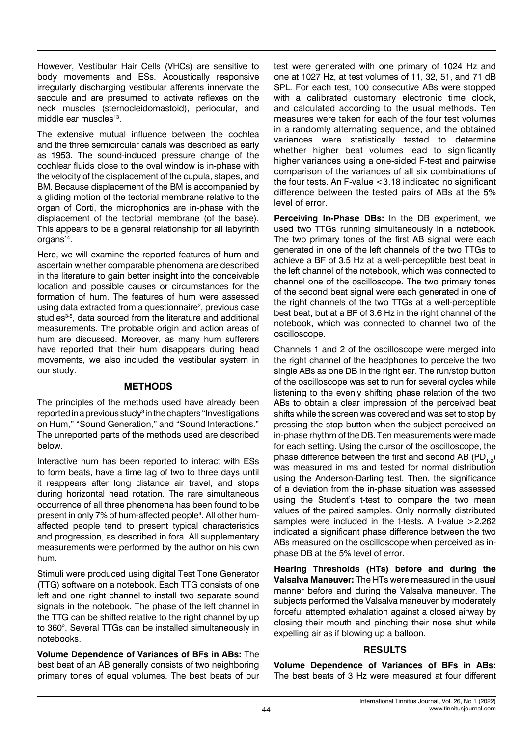However, Vestibular Hair Cells (VHCs) are sensitive to body movements and ESs. Acoustically responsive irregularly discharging vestibular afferents innervate the saccule and are presumed to activate reflexes on the neck muscles (sternocleidomastoid), periocular, and middle ear muscles<sup>13</sup>.

The extensive mutual influence between the cochlea and the three semicircular canals was described as early as 1953. The sound-induced pressure change of the cochlear fluids close to the oval window is in-phase with the velocity of the displacement of the cupula, stapes, and BM. Because displacement of the BM is accompanied by a gliding motion of the tectorial membrane relative to the organ of Corti, the microphonics are in-phase with the displacement of the tectorial membrane (of the base). This appears to be a general relationship for all labyrinth organs<sup>14</sup>.

Here, we will examine the reported features of hum and ascertain whether comparable phenomena are described in the literature to gain better insight into the conceivable location and possible causes or circumstances for the formation of hum. The features of hum were assessed using data extracted from a questionnaire<sup>2</sup>, previous case studies<sup>3-5</sup>, data sourced from the literature and additional measurements. The probable origin and action areas of hum are discussed. Moreover, as many hum sufferers have reported that their hum disappears during head movements, we also included the vestibular system in our study.

#### **METHODS**

The principles of the methods used have already been reported in a previous study<sup>3</sup> in the chapters "Investigations on Hum," "Sound Generation," and "Sound Interactions." The unreported parts of the methods used are described below.

Interactive hum has been reported to interact with ESs to form beats, have a time lag of two to three days until it reappears after long distance air travel, and stops during horizontal head rotation. The rare simultaneous occurrence of all three phenomena has been found to be present in only 7% of hum-affected people<sup>4</sup>. All other humaffected people tend to present typical characteristics and progression, as described in fora. All supplementary measurements were performed by the author on his own hum.

Stimuli were produced using digital Test Tone Generator (TTG) software on a notebook. Each TTG consists of one left and one right channel to install two separate sound signals in the notebook. The phase of the left channel in the TTG can be shifted relative to the right channel by up to 360°. Several TTGs can be installed simultaneously in notebooks.

**Volume Dependence of Variances of BFs in ABs:** The best beat of an AB generally consists of two neighboring primary tones of equal volumes. The best beats of our

test were generated with one primary of 1024 Hz and one at 1027 Hz, at test volumes of 11, 32, 51, and 71 dB SPL. For each test, 100 consecutive ABs were stopped with a calibrated customary electronic time clock, and calculated according to the usual methods**.** Ten measures were taken for each of the four test volumes in a randomly alternating sequence, and the obtained variances were statistically tested to determine whether higher beat volumes lead to significantly higher variances using a one-sided F-test and pairwise comparison of the variances of all six combinations of the four tests. An F-value <3.18 indicated no significant difference between the tested pairs of ABs at the 5% level of error.

**Perceiving In-Phase DBs:** In the DB experiment, we used two TTGs running simultaneously in a notebook. The two primary tones of the first AB signal were each generated in one of the left channels of the two TTGs to achieve a BF of 3.5 Hz at a well-perceptible best beat in the left channel of the notebook, which was connected to channel one of the oscilloscope. The two primary tones of the second beat signal were each generated in one of the right channels of the two TTGs at a well-perceptible best beat, but at a BF of 3.6 Hz in the right channel of the notebook, which was connected to channel two of the oscilloscope.

Channels 1 and 2 of the oscilloscope were merged into the right channel of the headphones to perceive the two single ABs as one DB in the right ear. The run/stop button of the oscilloscope was set to run for several cycles while listening to the evenly shifting phase relation of the two ABs to obtain a clear impression of the perceived beat shifts while the screen was covered and was set to stop by pressing the stop button when the subject perceived an in-phase rhythm of the DB. Ten measurements were made for each setting. Using the cursor of the oscilloscope, the phase difference between the first and second AB (PD<sub>1-2</sub>) was measured in ms and tested for normal distribution using the Anderson-Darling test. Then, the significance of a deviation from the in-phase situation was assessed using the Student's t-test to compare the two mean values of the paired samples. Only normally distributed samples were included in the t-tests. A t-value >2.262 indicated a significant phase difference between the two ABs measured on the oscilloscope when perceived as inphase DB at the 5% level of error.

**Hearing Thresholds (HTs) before and during the Valsalva Maneuver:** The HTs were measured in the usual manner before and during the Valsalva maneuver. The subjects performed the Valsalva maneuver by moderately forceful attempted exhalation against a closed airway by closing their mouth and pinching their nose shut while expelling air as if blowing up a balloon.

# **RESULTS**

**Volume Dependence of Variances of BFs in ABs:**  The best beats of 3 Hz were measured at four different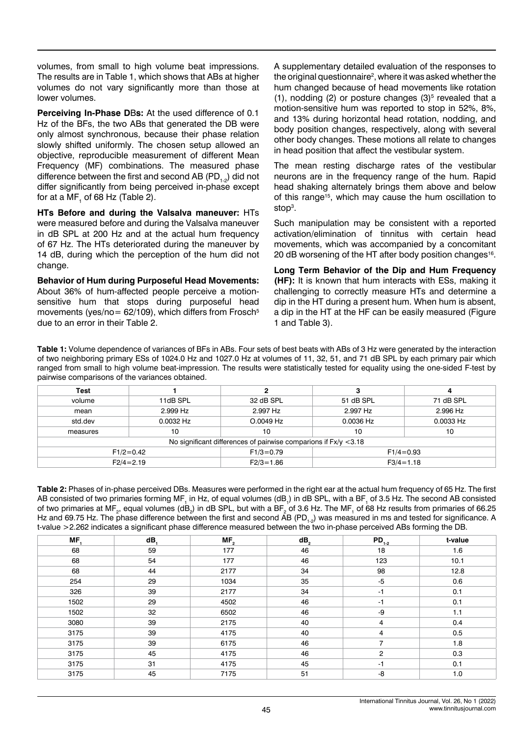volumes, from small to high volume beat impressions. The results are in Table 1, which shows that ABs at higher volumes do not vary significantly more than those at lower volumes.

**Perceiving In-Phase D**B**s:** At the used difference of 0.1 Hz of the BFs, the two ABs that generated the DB were only almost synchronous, because their phase relation slowly shifted uniformly. The chosen setup allowed an objective, reproducible measurement of different Mean Frequency (MF) combinations. The measured phase difference between the first and second AB  $(PD_{1,2})$  did not differ significantly from being perceived in-phase except for at a MF $_{1}$  of 68 Hz (Table 2).

**HTs Before and during the Valsalva maneuver:** HTs were measured before and during the Valsalva maneuver in dB SPL at 200 Hz and at the actual hum frequency of 67 Hz. The HTs deteriorated during the maneuver by 14 dB, during which the perception of the hum did not change.

**Behavior of Hum during Purposeful Head Movements:**  About 36% of hum-affected people perceive a motionsensitive hum that stops during purposeful head movements (yes/no=  $62/109$ ), which differs from Frosch<sup>5</sup> due to an error in their Table 2.

A supplementary detailed evaluation of the responses to the original questionnaire<sup>2</sup>, where it was asked whether the hum changed because of head movements like rotation (1), nodding (2) or posture changes  $(3)^5$  revealed that a motion-sensitive hum was reported to stop in 52%, 8%, and 13% during horizontal head rotation, nodding, and body position changes, respectively, along with several other body changes. These motions all relate to changes in head position that affect the vestibular system.

The mean resting discharge rates of the vestibular neurons are in the frequency range of the hum. Rapid head shaking alternately brings them above and below of this range<sup>15</sup>, which may cause the hum oscillation to stop<sup>3</sup>.

Such manipulation may be consistent with a reported activation/elimination of tinnitus with certain head movements, which was accompanied by a concomitant 20 dB worsening of the HT after body position changes<sup>16</sup>.

**Long Term Behavior of the Dip and Hum Frequency (HF):** It is known that hum interacts with ESs, making it challenging to correctly measure HTs and determine a dip in the HT during a present hum. When hum is absent, a dip in the HT at the HF can be easily measured (Figure 1 and Table 3).

**Table 1:** Volume dependence of variances of BFs in ABs. Four sets of best beats with ABs of 3 Hz were generated by the interaction of two neighboring primary ESs of 1024.0 Hz and 1027.0 Hz at volumes of 11, 32, 51, and 71 dB SPL by each primary pair which ranged from small to high volume beat-impression. The results were statistically tested for equality using the one-sided F-test by pairwise comparisons of the variances obtained.

| Test                                                             |           |               | 3             |           |  |  |  |
|------------------------------------------------------------------|-----------|---------------|---------------|-----------|--|--|--|
| volume                                                           | 11dB SPL  | 32 dB SPL     | 51 dB SPL     | 71 dB SPL |  |  |  |
| mean                                                             | 2.999 Hz  | 2.997 Hz      | 2.997 Hz      | 2.996 Hz  |  |  |  |
| std.dev                                                          | 0.0032 Hz | O.0049 Hz     | 0.0036 Hz     | 0.0033 Hz |  |  |  |
| measures                                                         | 10        | 10            | 10            | 10        |  |  |  |
| No significant differences of pairwise comparions if Fx/y < 3.18 |           |               |               |           |  |  |  |
| $F1/2=0.42$                                                      |           | $F1/3 = 0.79$ | $F1/4 = 0.93$ |           |  |  |  |
| $F2/4 = 2.19$                                                    |           | $F2/3 = 1.86$ | $F3/4 = 1.18$ |           |  |  |  |

**Table 2:** Phases of in-phase perceived DBs. Measures were performed in the right ear at the actual hum frequency of 65 Hz. The first AB consisted of two primaries forming MF<sub>1</sub> in Hz, of equal volumes (dB<sub>1</sub>) in dB SPL, with a BF<sub>1</sub> of 3.5 Hz. The second AB consisted of two primaries at MF<sub>2</sub>, equal volumes (dB<sub>2</sub>) in dB SPL, but with a BF<sub>2</sub> of 3.6 Hz. The MF<sub>1</sub> of 68 Hz results from primaries of 66.25 Hz and 69.75 Hz. The phase difference between the first and second AB (PD<sub>1-2</sub>) was measured in ms and tested for significance. A t-value >2.262 indicates a significant phase difference measured between the two in-phase perceived ABs forming the DB.

| MF.  | dB | MF <sub>2</sub> | dB <sub>2</sub> | $PD_{1.2}$     | t-value |
|------|----|-----------------|-----------------|----------------|---------|
| 68   | 59 | 177             | 46              | 18             | 1.6     |
| 68   | 54 | 177             | 46              | 123            | 10.1    |
| 68   | 44 | 2177            | 34              | 98             | 12.8    |
| 254  | 29 | 1034            | 35              | $-5$           | 0.6     |
| 326  | 39 | 2177            | 34              | $-1$           | 0.1     |
| 1502 | 29 | 4502            | 46              | $-1$           | 0.1     |
| 1502 | 32 | 6502            | 46              | -9             | 1.1     |
| 3080 | 39 | 2175            | 40              | 4              | 0.4     |
| 3175 | 39 | 4175            | 40              | 4              | 0.5     |
| 3175 | 39 | 6175            | 46              | $\overline{7}$ | 1.8     |
| 3175 | 45 | 4175            | 46              | 2              | 0.3     |
| 3175 | 31 | 4175            | 45              | $-1$           | 0.1     |
| 3175 | 45 | 7175            | 51              | -8             | 1.0     |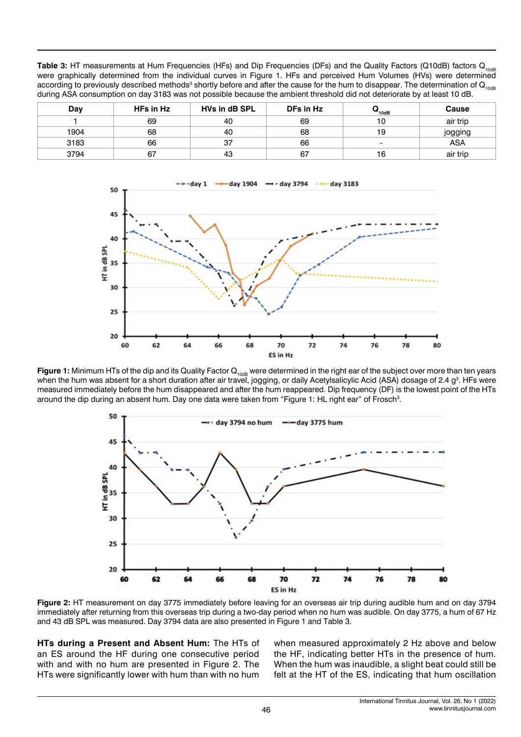Table 3: HT measurements at Hum Frequencies (HFs) and Dip Frequencies (DFs) and the Quality Factors (Q10dB) factors Q<sub>10dB</sub> were graphically determined from the individual curves in Figure 1. HFs and perceived Hum Volumes (HVs) were determined according to previously described methods $^3$  shortly before and after the cause for the hum to disappear. The determination of Q<sub>10dB</sub> during ASA consumption on day 3183 was not possible because the ambient threshold did not deteriorate by at least 10 dB.

| Day  | HFs in Hz | HVs in dB SPL | DFs in Hz | $\mathbf{w}_{10dB}$      | Cause      |
|------|-----------|---------------|-----------|--------------------------|------------|
|      | 69        | 40            | 69        | 10                       | air trip   |
| 1904 | 68        | 40            | 68        | 19                       | ogging     |
| 3183 | 66        | 37            | 66        | $\overline{\phantom{0}}$ | <b>ASA</b> |
| 3794 | 67        | 43            | 67        | 16                       | air trip   |



Figure 1: Minimum HTs of the dip and its Quality Factor Q<sub>10dB</sub> were determined in the right ear of the subject over more than ten years when the hum was absent for a short duration after air travel, jogging, or daily Acetylsalicylic Acid (ASA) dosage of 2.4 g<sup>3</sup>. HFs were measured immediately before the hum disappeared and after the hum reappeared. Dip frequency (DF) is the lowest point of the HTs around the dip during an absent hum. Day one data were taken from "Figure 1: HL right ear" of Frosch $^3$ .



**Figure 2:** HT measurement on day 3775 immediately before leaving for an overseas air trip during audible hum and on day 3794 immediately after returning from this overseas trip during a two-day period when no hum was audible. On day 3775, a hum of 67 Hz and 43 dB SPL was measured. Day 3794 data are also presented in Figure 1 and Table 3.

**HTs during a Present and Absent Hum:** The HTs of an ES around the HF during one consecutive period with and with no hum are presented in Figure 2. The HTs were significantly lower with hum than with no hum

when measured approximately 2 Hz above and below the HF, indicating better HTs in the presence of hum. When the hum was inaudible, a slight beat could still be felt at the HT of the ES, indicating that hum oscillation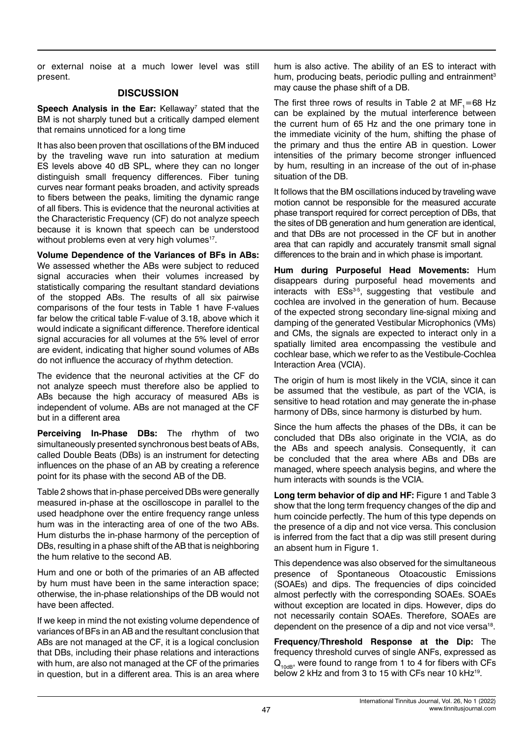or external noise at a much lower level was still present.

### **DISCUSSION**

**Speech Analysis in the Ear: Kellaway<sup>7</sup> stated that the** BM is not sharply tuned but a critically damped element that remains unnoticed for a long time

It has also been proven that oscillations of the BM induced by the traveling wave run into saturation at medium ES levels above 40 dB SPL, where they can no longer distinguish small frequency differences. Fiber tuning curves near formant peaks broaden, and activity spreads to fibers between the peaks, limiting the dynamic range of all fibers. This is evidence that the neuronal activities at the Characteristic Frequency (CF) do not analyze speech because it is known that speech can be understood without problems even at very high volumes<sup>17</sup>.

**Volume Dependence of the Variances of BFs in ABs:**  We assessed whether the ABs were subject to reduced signal accuracies when their volumes increased by statistically comparing the resultant standard deviations of the stopped ABs. The results of all six pairwise comparisons of the four tests in Table 1 have F-values far below the critical table F-value of 3.18, above which it would indicate a significant difference. Therefore identical signal accuracies for all volumes at the 5% level of error are evident, indicating that higher sound volumes of ABs do not influence the accuracy of rhythm detection.

The evidence that the neuronal activities at the CF do not analyze speech must therefore also be applied to ABs because the high accuracy of measured ABs is independent of volume. ABs are not managed at the CF but in a different area

**Perceiving In-Phase DBs:** The rhythm of two simultaneously presented synchronous best beats of ABs, called Double Beats (DBs) is an instrument for detecting influences on the phase of an AB by creating a reference point for its phase with the second AB of the DB.

Table 2 shows that in-phase perceived DBs were generally measured in-phase at the oscilloscope in parallel to the used headphone over the entire frequency range unless hum was in the interacting area of one of the two ABs. Hum disturbs the in-phase harmony of the perception of DBs, resulting in a phase shift of the AB that is neighboring the hum relative to the second AB.

Hum and one or both of the primaries of an AB affected by hum must have been in the same interaction space; otherwise, the in-phase relationships of the DB would not have been affected.

If we keep in mind the not existing volume dependence of variances of BFs in an AB and the resultant conclusion that ABs are not managed at the CF, it is a logical conclusion that DBs, including their phase relations and interactions with hum, are also not managed at the CF of the primaries in question, but in a different area. This is an area where hum is also active. The ability of an ES to interact with hum, producing beats, periodic pulling and entrainment<sup>3</sup> may cause the phase shift of a DB.

The first three rows of results in Table 2 at  $\textsf{MF}_{1}$ =68 Hz can be explained by the mutual interference between the current hum of 65 Hz and the one primary tone in the immediate vicinity of the hum, shifting the phase of the primary and thus the entire AB in question. Lower intensities of the primary become stronger influenced by hum, resulting in an increase of the out of in-phase situation of the DB.

It follows that the BM oscillations induced by traveling wave motion cannot be responsible for the measured accurate phase transport required for correct perception of DBs, that the sites of DB generation and hum generation are identical, and that DBs are not processed in the CF but in another area that can rapidly and accurately transmit small signal differences to the brain and in which phase is important.

**Hum during Purposeful Head Movements:** Hum disappears during purposeful head movements and interacts with ESs<sup>3-5</sup>, suggesting that vestibule and cochlea are involved in the generation of hum. Because of the expected strong secondary line-signal mixing and damping of the generated Vestibular Microphonics (VMs) and CMs, the signals are expected to interact only in a spatially limited area encompassing the vestibule and cochlear base, which we refer to as the Vestibule-Cochlea Interaction Area (VCIA).

The origin of hum is most likely in the VCIA, since it can be assumed that the vestibule, as part of the VCIA, is sensitive to head rotation and may generate the in-phase harmony of DBs, since harmony is disturbed by hum.

Since the hum affects the phases of the DBs, it can be concluded that DBs also originate in the VCIA, as do the ABs and speech analysis. Consequently, it can be concluded that the area where ABs and DBs are managed, where speech analysis begins, and where the hum interacts with sounds is the VCIA.

**Long term behavior of dip and HF: Figure 1 and Table 3** show that the long term frequency changes of the dip and hum coincide perfectly. The hum of this type depends on the presence of a dip and not vice versa. This conclusion is inferred from the fact that a dip was still present during an absent hum in Figure 1.

This dependence was also observed for the simultaneous presence of Spontaneous Otoacoustic Emissions (SOAEs) and dips. The frequencies of dips coincided almost perfectly with the corresponding SOAEs. SOAEs without exception are located in dips. However, dips do not necessarily contain SOAEs. Therefore, SOAEs are dependent on the presence of a dip and not vice versa<sup>18</sup>.

**Frequency/Threshold Response at the Dip:** The frequency threshold curves of single ANFs, expressed as  $Q<sub>10dB</sub>$ , were found to range from 1 to 4 for fibers with CFs below 2 kHz and from 3 to 15 with CFs near 10 kHz<sup>19</sup>.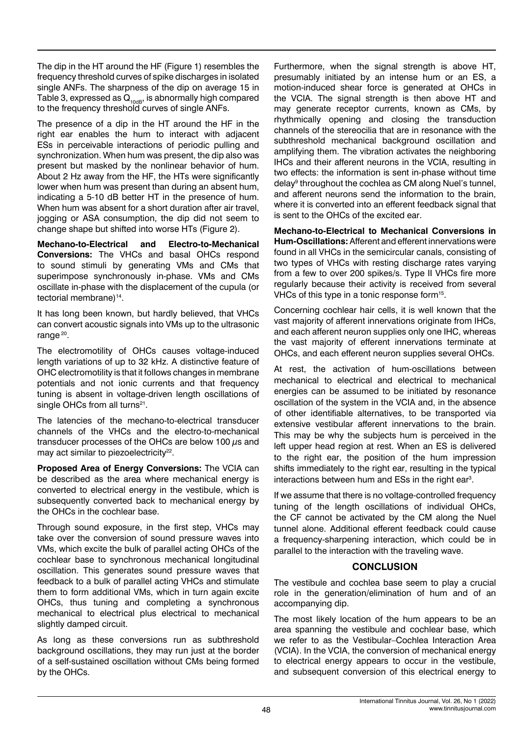The dip in the HT around the HF (Figure 1) resembles the frequency threshold curves of spike discharges in isolated single ANFs. The sharpness of the dip on average 15 in Table 3, expressed as  $Q<sub>10dB</sub>$ , is abnormally high compared to the frequency threshold curves of single ANFs.

The presence of a dip in the HT around the HF in the right ear enables the hum to interact with adjacent ESs in perceivable interactions of periodic pulling and synchronization. When hum was present, the dip also was present but masked by the nonlinear behavior of hum. About 2 Hz away from the HF, the HTs were significantly lower when hum was present than during an absent hum, indicating a 5-10 dB better HT in the presence of hum. When hum was absent for a short duration after air travel. jogging or ASA consumption, the dip did not seem to change shape but shifted into worse HTs (Figure 2).

**Mechano-to-Electrical and Electro-to-Mechanical Conversions:** The VHCs and basal OHCs respond to sound stimuli by generating VMs and CMs that superimpose synchronously in-phase. VMs and CMs oscillate in-phase with the displacement of the cupula (or tectorial membrane)<sup>14</sup>.

It has long been known, but hardly believed, that VHCs can convert acoustic signals into VMs up to the ultrasonic range<sup>20</sup>.

The electromotility of OHCs causes voltage-induced length variations of up to 32 kHz. A distinctive feature of OHC electromotility is that it follows changes in membrane potentials and not ionic currents and that frequency tuning is absent in voltage-driven length oscillations of single OHCs from all turns<sup>21</sup>.

The latencies of the mechano-to-electrical transducer channels of the VHCs and the electro-to-mechanical transducer processes of the OHCs are below 100  $\mu$ s and may act similar to piezoelectricity<sup>22</sup>.

**Proposed Area of Energy Conversions:** The VCIA can be described as the area where mechanical energy is converted to electrical energy in the vestibule, which is subsequently converted back to mechanical energy by the OHCs in the cochlear base.

Through sound exposure, in the first step, VHCs may take over the conversion of sound pressure waves into VMs, which excite the bulk of parallel acting OHCs of the cochlear base to synchronous mechanical longitudinal oscillation. This generates sound pressure waves that feedback to a bulk of parallel acting VHCs and stimulate them to form additional VMs, which in turn again excite OHCs, thus tuning and completing a synchronous mechanical to electrical plus electrical to mechanical slightly damped circuit.

As long as these conversions run as subthreshold background oscillations, they may run just at the border of a self-sustained oscillation without CMs being formed by the OHCs.

Furthermore, when the signal strength is above HT, presumably initiated by an intense hum or an ES, a motion-induced shear force is generated at OHCs in the VCIA. The signal strength is then above HT and may generate receptor currents, known as CMs, by rhythmically opening and closing the transduction channels of the stereocilia that are in resonance with the subthreshold mechanical background oscillation and amplifying them. The vibration activates the neighboring IHCs and their afferent neurons in the VCIA, resulting in two effects: the information is sent in-phase without time delay<sup>9</sup> throughout the cochlea as CM along Nuel's tunnel, and afferent neurons send the information to the brain, where it is converted into an efferent feedback signal that is sent to the OHCs of the excited ear.

**Mechano-to-Electrical to Mechanical Conversions in Hum-Oscillations:** Afferent and efferent innervations were found in all VHCs in the semicircular canals, consisting of two types of VHCs with resting discharge rates varying from a few to over 200 spikes/s. Type II VHCs fire more regularly because their activity is received from several VHCs of this type in a tonic response form<sup>15</sup>.

Concerning cochlear hair cells, it is well known that the vast majority of afferent innervations originate from IHCs, and each afferent neuron supplies only one IHC, whereas the vast majority of efferent innervations terminate at OHCs, and each efferent neuron supplies several OHCs.

At rest, the activation of hum-oscillations between mechanical to electrical and electrical to mechanical energies can be assumed to be initiated by resonance oscillation of the system in the VCIA and, in the absence of other identifiable alternatives, to be transported via extensive vestibular afferent innervations to the brain. This may be why the subjects hum is perceived in the left upper head region at rest. When an ES is delivered to the right ear, the position of the hum impression shifts immediately to the right ear, resulting in the typical interactions between hum and ESs in the right ear<sup>3</sup>.

If we assume that there is no voltage-controlled frequency tuning of the length oscillations of individual OHCs, the CF cannot be activated by the CM along the Nuel tunnel alone. Additional efferent feedback could cause a frequency-sharpening interaction, which could be in parallel to the interaction with the traveling wave.

# **CONCLUSION**

The vestibule and cochlea base seem to play a crucial role in the generation/elimination of hum and of an accompanying dip.

The most likely location of the hum appears to be an area spanning the vestibule and cochlear base, which we refer to as the Vestibular–Cochlea Interaction Area (VCIA). In the VCIA, the conversion of mechanical energy to electrical energy appears to occur in the vestibule, and subsequent conversion of this electrical energy to